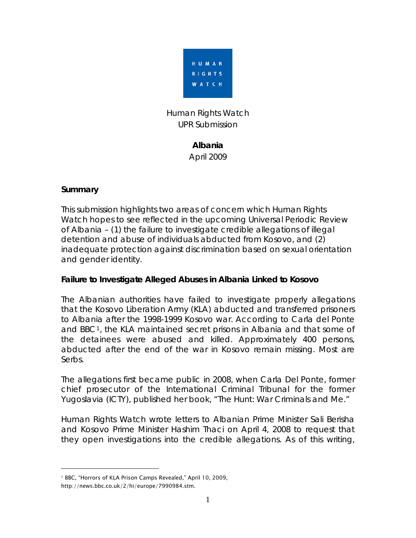

## Human Rights Watch UPR Submission

# **Albania**  April 2009

#### **Summary**

This submission highlights two areas of concern which Human Rights Watch hopes to see reflected in the upcoming Universal Periodic Review of Albania – (1) the failure to investigate credible allegations of illegal detention and abuse of individuals abducted from Kosovo, and (2) inadequate protection against discrimination based on sexual orientation and gender identity.

## **Failure to Investigate Alleged Abuses in Albania Linked to Kosovo**

The Albanian authorities have failed to investigate properly allegations that the Kosovo Liberation Army (KLA) abducted and transferred prisoners to Albania after the 1998-1999 Kosovo war. According to Carla del Ponte and BBC[1](#page-0-0), the KLA maintained secret prisons in Albania and that some of the detainees were abused and killed. Approximately 400 persons, abducted after the end of the war in Kosovo remain missing. Most are Serbs.

The allegations first became public in 2008, when Carla Del Ponte, former chief prosecutor of the International Criminal Tribunal for the former Yugoslavia (ICTY), published her book, "The Hunt: War Criminals and Me."

Human Rights Watch wrote letters to [Albanian Prime Minister Sali Berisha](http://hrw.org/english/docs/2008/05/01/serbia18696.htm) and [Kosovo Prime Minister Hashim Thaci](http://hrw.org/english/docs/2008/05/01/serbia18695.htm) on April 4, 2008 to request that they open investigations into the credible allegations. As of this writing,

 $\overline{a}$ 

<span id="page-0-0"></span><sup>&</sup>lt;sup>1</sup> BBC, "Horrors of KLA Prison Camps Revealed," April 10, 2009,

http://news.bbc.co.uk/2/hi/europe/7990984.stm.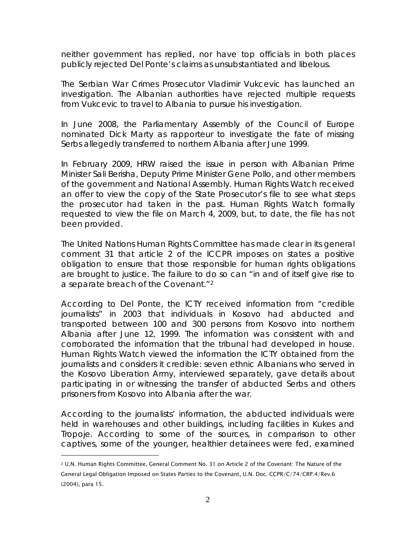neither government has replied, nor have top officials in both places publicly rejected Del Ponte's claims as unsubstantiated and libelous.

The Serbian War Crimes Prosecutor Vladimir Vukcevic has launched an investigation. The Albanian authorities have rejected multiple requests from Vukcevic to travel to Albania to pursue his investigation.

In June 2008, the Parliamentary Assembly of the Council of Europe nominated Dick Marty as rapporteur to investigate the fate of missing Serbs allegedly transferred to northern Albania after June 1999.

In February 2009, HRW raised the issue in person with Albanian Prime Minister Sali Berisha, Deputy Prime Minister Gene Pollo, and other members of the government and National Assembly. Human Rights Watch received an offer to view the copy of the State Prosecutor's file to see what steps the prosecutor had taken in the past. Human Rights Watch formally requested to view the file on March 4, 2009, but, to date, the file has not been provided.

The United Nations Human Rights Committee has made clear in its general comment 31 that article 2 of the ICCPR imposes on states a positive obligation to ensure that those responsible for human rights obligations are brought to justice. The failure to do so can "in and of itself give rise to a separate breach of the Covenant."[2](#page-1-0)

According to Del Ponte, the ICTY received information from "credible journalists" in 2003 that individuals in Kosovo had abducted and transported between 100 and 300 persons from Kosovo into northern Albania after June 12, 1999. The information was consistent with and corroborated the information that the tribunal had developed in house. Human Rights Watch viewed the information the ICTY obtained from the journalists and considers it credible: seven ethnic Albanians who served in the Kosovo Liberation Army, interviewed separately, gave details about participating in or witnessing the transfer of abducted Serbs and others prisoners from Kosovo into Albania after the war.

According to the journalists' information, the abducted individuals were held in warehouses and other buildings, including facilities in Kukes and Tropoje. According to some of the sources, in comparison to other captives, some of the younger, healthier detainees were fed, examined

 $\overline{a}$ 

<span id="page-1-0"></span><sup>2</sup> U.N. Human Rights Committee, General Comment No. 31 on Article 2 of the Covenant: The Nature of the General Legal Obligation Imposed on States Parties to the Covenant, U.N. Doc. CCPR/C/74/CRP.4/Rev.6 (2004), para 15.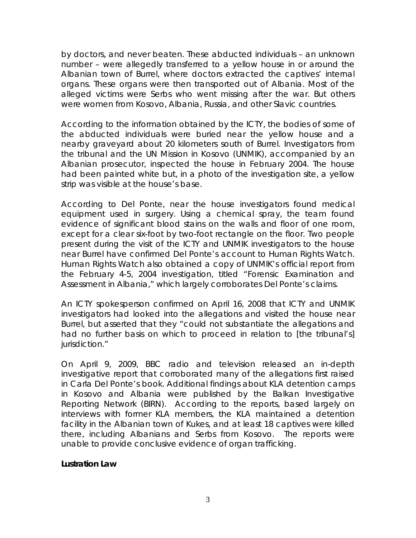by doctors, and never beaten. These abducted individuals – an unknown number – were allegedly transferred to a yellow house in or around the Albanian town of Burrel, where doctors extracted the captives' internal organs. These organs were then transported out of Albania. Most of the alleged victims were Serbs who went missing after the war. But others were women from Kosovo, Albania, Russia, and other Slavic countries.

According to the information obtained by the ICTY, the bodies of some of the abducted individuals were buried near the yellow house and a nearby graveyard about 20 kilometers south of Burrel. Investigators from the tribunal and the UN Mission in Kosovo (UNMIK), accompanied by an Albanian prosecutor, inspected the house in February 2004. The house had been painted white but, in a photo of the investigation site, a yellow strip was visible at the house's base.

According to Del Ponte, near the house investigators found medical equipment used in surgery. Using a chemical spray, the team found evidence of significant blood stains on the walls and floor of one room, except for a clear six-foot by two-foot rectangle on the floor. Two people present during the visit of the ICTY and UNMIK investigators to the house near Burrel have confirmed Del Ponte's account to Human Rights Watch. Human Rights Watch also obtained a copy of UNMIK's official report from the February 4-5, 2004 investigation, titled "Forensic Examination and Assessment in Albania," which largely corroborates Del Ponte's claims.

An ICTY spokesperson confirmed on April 16, 2008 that ICTY and UNMIK investigators had looked into the allegations and visited the house near Burrel, but asserted that they "could not substantiate the allegations and had no further basis on which to proceed in relation to [the tribunal's] jurisdiction."

On April 9, 2009, BBC radio and television released an in-depth investigative report that corroborated many of the allegations first raised in Carla Del Ponte's book. Additional findings about KLA detention camps in Kosovo and Albania were published by the Balkan Investigative Reporting Network (BIRN). According to the reports, based largely on interviews with former KLA members, the KLA maintained a detention facility in the Albanian town of Kukes, and at least 18 captives were killed there, including Albanians and Serbs from Kosovo. The reports were unable to provide conclusive evidence of organ trafficking.

#### **Lustration Law**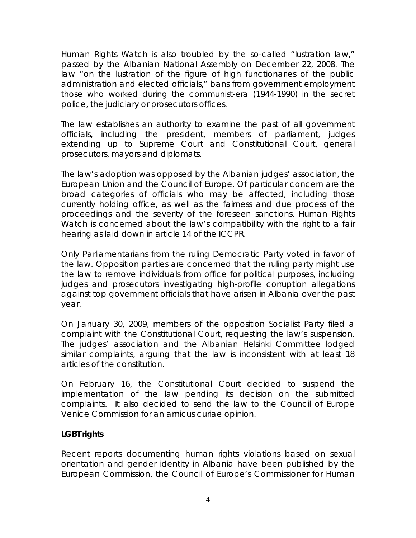Human Rights Watch is also troubled by the so-called "lustration law," passed by the Albanian National Assembly on December 22, 2008. The law "on the lustration of the figure of high functionaries of the public administration and elected officials," bans from government employment those who worked during the communist-era (1944-1990) in the secret police, the judiciary or prosecutors offices.

The law establishes an authority to examine the past of all government officials, including the president, members of parliament, judges extending up to Supreme Court and Constitutional Court, general prosecutors, mayors and diplomats.

The law's adoption was opposed by the Albanian judges' association, the European Union and the Council of Europe. Of particular concern are the broad categories of officials who may be affected, including those currently holding office, as well as the fairness and due process of the proceedings and the severity of the foreseen sanctions. Human Rights Watch is concerned about the law's compatibility with the right to a fair hearing as laid down in article 14 of the ICCPR.

Only Parliamentarians from the ruling Democratic Party voted in favor of the law. Opposition parties are concerned that the ruling party might use the law to remove individuals from office for political purposes, including judges and prosecutors investigating high-profile corruption allegations against top government officials that have arisen in Albania over the past year.

On January 30, 2009, members of the opposition Socialist Party filed a complaint with the Constitutional Court, requesting the law's suspension. The judges' association and the Albanian Helsinki Committee lodged similar complaints, arguing that the law is inconsistent with at least 18 articles of the constitution.

On February 16, the Constitutional Court decided to suspend the implementation of the law pending its decision on the submitted complaints. It also decided to send the law to the Council of Europe Venice Commission for an *amicus curiae* opinion.

## **LGBT rights**

Recent reports documenting human rights violations based on sexual orientation and gender identity in Albania have been published by the European Commission, the Council of Europe's Commissioner for Human